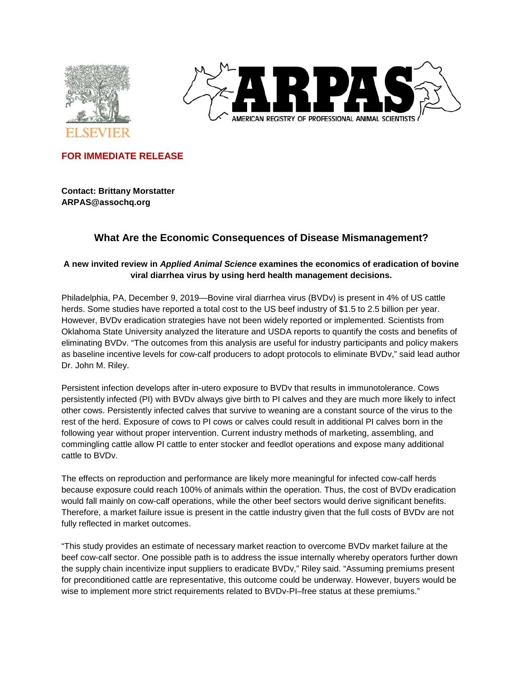



**FOR IMMEDIATE RELEASE**

**Contact: Brittany Morstatter ARPAS@assochq.org**

# **What Are the Economic Consequences of Disease Mismanagement?**

## **A new invited review in** *Applied Animal Science* **examines the economics of eradication of bovine viral diarrhea virus by using herd health management decisions.**

Philadelphia, PA, December 9, 2019—Bovine viral diarrhea virus (BVDv) is present in 4% of US cattle herds. Some studies have reported a total cost to the US beef industry of \$1.5 to 2.5 billion per year. However, BVDv eradication strategies have not been widely reported or implemented. Scientists from Oklahoma State University analyzed the literature and USDA reports to quantify the costs and benefits of eliminating BVDv. "The outcomes from this analysis are useful for industry participants and policy makers as baseline incentive levels for cow-calf producers to adopt protocols to eliminate BVDv," said lead author Dr. John M. Riley.

Persistent infection develops after in-utero exposure to BVDv that results in immunotolerance. Cows persistently infected (PI) with BVDv always give birth to PI calves and they are much more likely to infect other cows. Persistently infected calves that survive to weaning are a constant source of the virus to the rest of the herd. Exposure of cows to PI cows or calves could result in additional PI calves born in the following year without proper intervention. Current industry methods of marketing, assembling, and commingling cattle allow PI cattle to enter stocker and feedlot operations and expose many additional cattle to BVDv.

The effects on reproduction and performance are likely more meaningful for infected cow-calf herds because exposure could reach 100% of animals within the operation. Thus, the cost of BVDv eradication would fall mainly on cow-calf operations, while the other beef sectors would derive significant benefits. Therefore, a market failure issue is present in the cattle industry given that the full costs of BVDv are not fully reflected in market outcomes.

"This study provides an estimate of necessary market reaction to overcome BVDv market failure at the beef cow-calf sector. One possible path is to address the issue internally whereby operators further down the supply chain incentivize input suppliers to eradicate BVDv," Riley said. "Assuming premiums present for preconditioned cattle are representative, this outcome could be underway. However, buyers would be wise to implement more strict requirements related to BVDv-PI–free status at these premiums."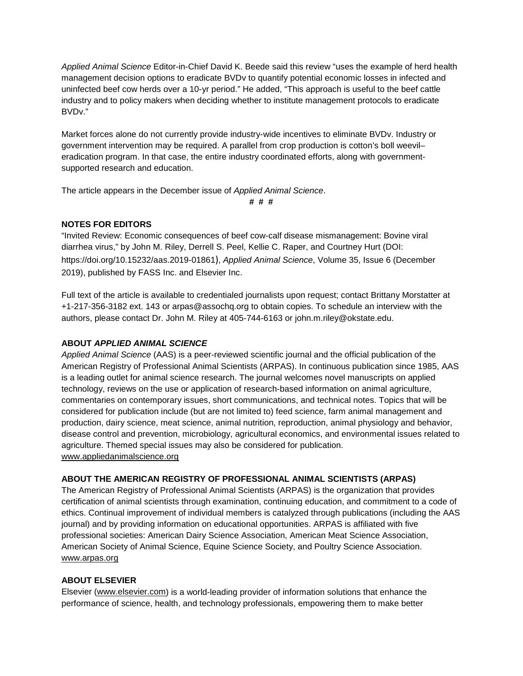*Applied Animal Science* Editor-in-Chief David K. Beede said this review "uses the example of herd health management decision options to eradicate BVDv to quantify potential economic losses in infected and uninfected beef cow herds over a 10-yr period." He added, "This approach is useful to the beef cattle industry and to policy makers when deciding whether to institute management protocols to eradicate BVDv."

Market forces alone do not currently provide industry-wide incentives to eliminate BVDv. Industry or government intervention may be required. A parallel from crop production is cotton's boll weevil– eradication program. In that case, the entire industry coordinated efforts, along with governmentsupported research and education.

The article appears in the December issue of *Applied Animal Science*.

**# # #**

### **NOTES FOR EDITORS**

"Invited Review: Economic consequences of beef cow-calf disease mismanagement: Bovine viral diarrhea virus," by John M. Riley, Derrell S. Peel, Kellie C. Raper, and Courtney Hurt (DOI: https://doi.org/10.15232/aas.2019-01861), *Applied Animal Science*, Volume 35, Issue 6 (December 2019), published by FASS Inc. and Elsevier Inc.

Full text of the article is available to credentialed journalists upon request; contact Brittany Morstatter at +1-217-356-3182 ext. 143 or arpas@assochq.org to obtain copies. To schedule an interview with the authors, please contact Dr. John M. Riley at 405-744-6163 or john.m.riley@okstate.edu.

## **ABOUT** *APPLIED ANIMAL SCIENCE*

*Applied Animal Science* (AAS) is a peer-reviewed scientific journal and the official publication of the American Registry of Professional Animal Scientists (ARPAS). In continuous publication since 1985, AAS is a leading outlet for animal science research. The journal welcomes novel manuscripts on applied technology, reviews on the use or application of research-based information on animal agriculture, commentaries on contemporary issues, short communications, and technical notes. Topics that will be considered for publication include (but are not limited to) feed science, farm animal management and production, dairy science, meat science, animal nutrition, reproduction, animal physiology and behavior, disease control and prevention, microbiology, agricultural economics, and environmental issues related to agriculture. Themed special issues may also be considered for publication. [www.appliedanimalscience.org](http://www.appliedanimalscience.org/)

### **ABOUT THE AMERICAN REGISTRY OF PROFESSIONAL ANIMAL SCIENTISTS (ARPAS)**

The American Registry of Professional Animal Scientists (ARPAS) is the organization that provides certification of animal scientists through examination, continuing education, and commitment to a code of ethics. Continual improvement of individual members is catalyzed through publications (including the AAS journal) and by providing information on educational opportunities. ARPAS is affiliated with five professional societies: American Dairy Science Association, American Meat Science Association, American Society of Animal Science, Equine Science Society, and Poultry Science Association. [www.arpas.org](http://www.arpas.org/)

### **ABOUT ELSEVIER**

Elsevier [\(www.elsevier.com\)](http://www.elsevier.com/) is a world-leading provider of information solutions that enhance the performance of science, health, and technology professionals, empowering them to make better